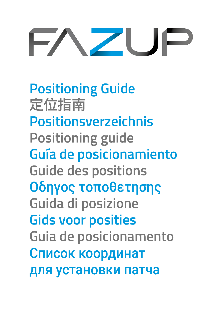**Positioning Guide 定位指南 Positionsverzeichnis Positioning guide Guía de posicionamiento Guide des positions** Οδηγος τοποθετησης **Guida di posizione Gids voor posities Guia de posicionamento** Список координат для установки патча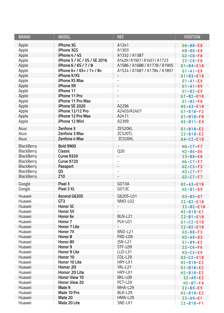| <b>BRAND</b>      | <b>MODEL</b>                         | REF.                          | <b>POSITION</b>                                 |
|-------------------|--------------------------------------|-------------------------------|-------------------------------------------------|
| Apple             | iPhone 3G                            | A1241                         | $G6 - B8 - E8$                                  |
| Apple             | iPhone 3GS                           | A1303                         | H8-B8-E8                                        |
| Apple             | iPhone 4 / 4S                        | A1332 / A1387                 | $G2 - C8 - F8$                                  |
| Apple             | iPhone 5 / 5C / 5S / SE 2016         | A1429 / A1507 / A1457 / A1723 | $I2 - C8 - F8$                                  |
| Apple             | iPhone 6 / 6S / 7 / 8                | A1586 / A1688 / A1778 / A1905 | $G1 - B4 - E10$                                 |
| Apple             | iPhone 6+ / 6S+ / 7+ / 8+            | A1524 / A1687 / A1784 / A1897 | $G1 - A1 - E9$                                  |
| Apple             | iPhone X/XS                          |                               | $G1 - B3 - E10$                                 |
| Apple             | iPhone XS Max                        | L.                            | $G1 - A1 - E9$                                  |
| Apple             | iPhone XR                            | ٠                             | $G1 - A1 - D9$                                  |
| Apple             | iPhone 11                            | $\overline{a}$                | $G1 - B2 - E9$                                  |
| Apple             | iPhone 11 Pro                        | $\overline{a}$                | $G1 - B2 - D10$                                 |
| Apple             | iPhone 11 Pro Max                    | L.                            | $G1 - B2 - F8$                                  |
| Apple             | iPhone SE 2020                       | A2296                         | $H2 - A3 - E10$                                 |
| Apple             | iPhone 12/12 Pro                     | A2403/A2407                   | $G1 - B10 - F2$                                 |
| Apple             | iPhone 12 Pro Max                    | A2411                         | $G1 - B10 - F0$                                 |
| Apple             | iPhone 12 Mini                       | A2399                         | H <sub>2</sub> -B <sub>11</sub> -E <sub>4</sub> |
|                   |                                      |                               |                                                 |
| Asus              | Zenfone 3                            | ZE520KL                       | $G1 - B10 - E2$                                 |
| Asus              | Zenfone 3 Max                        | ZC520TL                       | $I2 - B10 - E2$                                 |
| Asus              | Zenfone 4 Max                        | ZC520KL                       | G4-C2-E10                                       |
| BlackBerry        | <b>Bold 9900</b>                     |                               | $H6 - C7 - F7$                                  |
| BlackBerry        | Classic                              | Q20                           | $H2 - B6 - D6$                                  |
| BlackBerry        | <b>Curve 9320</b>                    |                               | $I3 - B8 - E8$                                  |
| <b>BlackBerry</b> | <b>Curve 9720</b>                    | ä,                            | $H6 - C7 - F7$                                  |
| BlackBerry        | Passport                             |                               | $G2 - C3 - F3$                                  |
| BlackBerry        | Q5                                   | ÷,                            | H3-C7-F7                                        |
| BlackBerry        | Z10                                  |                               | $G2 - C7 - F7$                                  |
| Google            | Pixel 3                              | GO13A                         | H2-A3-E10                                       |
| Google            | Pixel 3 XL                           | GO13C                         | $H2 - B1 - D9$                                  |
|                   |                                      |                               |                                                 |
| Huawei            | Ascend G620S                         | G620S-L01                     | $G3 - B5 - D7$                                  |
| Huawei            | GT3                                  | <b>NMO-L02</b>                | $I2 - B2 - E10$                                 |
| Huawei<br>Huawei  | Honor 5C<br>Honor 5X                 | ٠                             | $I2 - B2 - E10$                                 |
| Huawei            |                                      | BLN-L21                       | $H2 - B10 - E1$                                 |
|                   | Honor <sub>6x</sub>                  |                               | $I2 - B1 - E10$                                 |
| Huawei            | Honor 7                              | PLK-LO1                       | $G1 - C2 - E10$                                 |
| Huawei<br>Huawei  | Honor 7 Lite<br>Honor 7X             | BND-L21                       | $I2 - B2 - E10$                                 |
| Huawei            | Honor <sub>8</sub>                   | FRD-L09                       | $G3 - B8 - F3$                                  |
| Huawei            |                                      | ISN-L <sub>21</sub>           | $H2 - A9 - D3$                                  |
| Huawei            | Honor 8X<br>Honor 9                  |                               | $G1 - B9 - E2$                                  |
| Huawei            |                                      | STF-L09                       | $I2-C6-F6$                                      |
| Huawei            | Honor 9 Lite<br>Honor 10             | LLD-L31                       | H3-C3-E9                                        |
|                   |                                      | COL-L29                       | $G2 - C2 - E10$                                 |
| Huawei<br>Huawei  | Honor 10 Lite<br>Honor <sub>20</sub> | HRY-LX1<br>YAL-L21            | $H2 - B10 - E2$                                 |
| Huawei            | Honor 20 Lite                        | HRY-LX1                       | $G1 - B10 - E2$                                 |
| Huawei            | Honor View 10                        |                               | $H2 - B10 - E2$                                 |
|                   | <b>Honor View 20</b>                 | BKL-L09                       | $I2 - A9 - E2$                                  |
| Huawei            |                                      | PCT-L29                       | $H2 - B7 - F4$                                  |
| Huawei            | Mate 9                               | MHA-L29                       | $I2 - B5 - E5$                                  |
| Huawei            | Mate 10 Pro                          | BLA-L29                       | $H2 - B10 - E2$                                 |
| Huawei            | Mate 20                              | HMA-L29                       | $I2 - A9 - E1$                                  |
| Huawei            | Mate 20 Lite                         | SNE-LX1                       | $I2 - B10 - F1$                                 |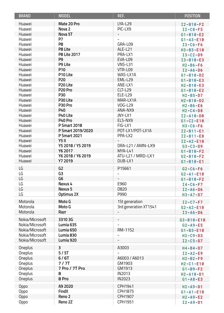| <b>BRAND</b>    | <b>MODEL</b>         | REF.                  | <b>POSITION</b>                                 |
|-----------------|----------------------|-----------------------|-------------------------------------------------|
| Huawei          | Mate 20 Pro          | LYA-L29               | $I2 - B10 - F2$                                 |
| Huawei          | Nova 2               | PIC-LX9               | $I2 - C8 - F5$                                  |
| Huawei          | Nova 5T              |                       | $G1 - B10 - E2$                                 |
| Huawei          | P7                   | L,                    | $G1 - A3 - E10$                                 |
| Huawei          | P <sub>8</sub>       | GRA-LO9               | $I3-C6-F6$                                      |
| Huawei          | P8 Lite              | ALE-L21               | $H3 - B3 - E10$                                 |
| Huawei          | P8 Lite 2017         | PRA-LX1               | $I3 - C2 - D9$                                  |
| Huawei          | P <sub>9</sub>       | EVA-LO9               | $I3 - B10 - E3$                                 |
| Huawei          | P9 Lite              | VNS-L31               | $H2 - B6 - F6$                                  |
| Huawei          | P <sub>10</sub>      | VTR-L09               | $I2 - A6 - D6$                                  |
| Huawei          | P10 Lite             | WAS-LX1A              | $G1 - B10 - D2$                                 |
| Huawei          | P <sub>20</sub>      | EML-L29               | $G1 - B10 - E3$                                 |
| Huawei          | P <sub>20</sub> Lite | ANE-LX1               | $H2 - B10 - E3$                                 |
| Huawei          | P <sub>20</sub> Pro  | $CLT-L29$             | $G1 - B10 - E2$                                 |
| Huawei          | P30                  | ELE-L29               | $H2 - B5 - D7$                                  |
| Huawei          | P30 Lite             | MAR-LX1A              | $H2 - B10 - D2$                                 |
| Huawei          | P30 Pro              | <b>VOG-L29</b>        | $H2 - B6 - E6$                                  |
| Huawei          | P40                  | ANA-NX9               | $H2 - C4 - D8$                                  |
| Huawei          | P40 Lite             | INY-LX1               | I2-A10-D0                                       |
| Huawei          | P40 Pro              | ELS-NX9               | $G1 - C2 - E10$                                 |
| Huawei          | <b>P Smart 2018</b>  | FIG-LX1               | $H3-C6-F6$                                      |
| Huawei          | P Smart 2019/2020    | POT-LX1/POT-LX1A      | $I2 - B11 - E1$                                 |
| Huawei          | <b>P Smart 2021</b>  | PPA-LX2               | $I2 - B11 - E0$                                 |
| Huawei          | Y5 II                |                       | $I2 - A2 - E10$                                 |
| Huawei          | Y5 2018 / Y5 2019    | DRA-L21 / AMN-LX9     | $G3 - C3 - D9$                                  |
| Huawei          | Y6 2017              | MYA-L41               | $G1 - B10 - F2$                                 |
| Huawei          | Y6 2018 / Y6 2019    | ATU-L21 / MRD-LX1     | $G2 - B10 - F2$                                 |
| Huawei          | Y7 2019              | DUB-LX1               | $G1 - B10 - E1$                                 |
| LG              | G <sub>2</sub>       | P15661                | $G2 - C6 - F6$                                  |
| LG              | G3                   | ٠                     | $G2 - A1 - E10$                                 |
| LG              | G6                   |                       | $G1 - B10 - F2$                                 |
| LG              | Nexus 4              | E960                  | $I4 - C6 - F7$                                  |
| LG              | Nexus 5              | D820                  | $I2 - A6 - D6$                                  |
| LG              | Optimus 2X           | P990                  | $H3 - A7 - D7$                                  |
| Motorola        | Moto G               | 1St generation        | $I2 - C7 - F7$                                  |
| Motorola        | Moto G               | 3rd generation XT1541 | $G2 - A2 - E10$                                 |
| Motorola        | Razr                 |                       | $I3 - A6 - D6$                                  |
| Nokia/Microsoft | 3310 3G              |                       | G3-B10-E10                                      |
| Nokia/Microsoft | Lumia 635            |                       | $G2 - A9 - E5$                                  |
| Nokia/Microsoft | Lumia 650            | RM-1152               | $G1 - B3 - E10$                                 |
| Nokia/Microsoft | Lumia 830            | ۰                     | $H2 - C9 - D3$                                  |
| Nokia/Microsoft | Lumia 920            |                       | $I2 - C5 - D7$                                  |
| Oneplus         | 3                    | A3003                 | $H4 - B4 - D7$                                  |
| Oneplus         | 5/5T                 |                       | $I2 - A2 - E9$                                  |
| Oneplus         | 6/6T                 | A6003 / A6013         | $H2 - B2 - F9$                                  |
| Oneplus         | 7/7T                 | GM1903                | H <sub>2</sub> -C <sub>1</sub> -E <sub>10</sub> |
| Oneplus         | 7 Pro / 7T Pro       | GM1913                | $G1 - B9 - F2$                                  |
| Oneplus         | 8                    | IN2013                | $H2 - A10 - D1$                                 |
| Oneplus         | 8 Pro                | IN2023                | $G1 - A8 - E3$                                  |
| Oppo            | A9 2020              | CPH1941               | $H2 - A9 - D1$                                  |
| Oppo            | FindX                | CPH1875               | G1-A1-E10                                       |
| Oppo            | Reno <sub>2</sub>    | CPH1907               | $H2 - A9 - E2$                                  |
| Oppo            | Reno 2Z              | CPH1951               | $I2 - A9 - D1$                                  |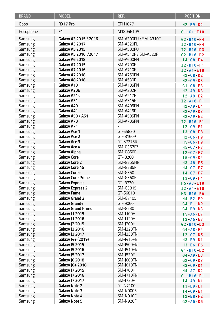| RX17 Pro<br><b>CPH1877</b><br>Oppo<br>$H2 - B9 - D2$<br>F <sub>1</sub><br>Pocophone<br>M1805E10A<br>G1-C1-E10<br>SM-A300FU / SM-A310F<br>Galaxy A3 2015 / 2016<br>Samsung<br>$G2 - B10 - F4$<br>Galaxy A3 2017<br>SM-A320FL<br>Samsung<br>$I2 - B10 - F4$<br>SM-A500FU<br>Samsung<br>Galaxy A5 2015<br>$I2 - B10 - D3$<br>Samsung<br>Galaxy A5 2016 /2017<br>SM-A510F / SM-A520F<br>$G2 - B10 - D2$<br>Samsung<br>SM-A600FN<br>Galaxy A6 2018<br>$I4-C8-F4$<br><b>SM-A700F</b><br>Samsung<br>Galaxy A7 2015<br>$I2 - B10 - F1$<br>Galaxy A7 2016<br><b>SM-A710F</b><br>Samsung<br>$I2 - A1 - E10$<br>SM-A750FN<br>Samsung<br>Galaxy A7 2018<br>$H2 - C8 - D2$<br>Samsung<br>Galaxy A8 2018<br><b>SM-A530F</b><br>$H2 - C9 - D3$<br>Samsung<br>Galaxy A10<br>SM-A105FN<br>$G1 - C8 - E3$<br><b>SM-A202F</b><br>Samsung<br>Galaxy A20E<br>$H2 - A9 - D3$<br><b>SM-A217F</b><br>Samsung<br>Galaxy A21s<br>$I2 - A9 - E2$<br>Samsung<br>SM-A315G<br>Galaxy A31<br>$I2 - A10 - F1$<br>Samsung<br>Galaxy A40<br>SM-A405FN<br>$H2 - A9 - E4$<br><b>SM-A415F</b><br>Samsung<br>Galaxy A41<br>$H2 - A9 - D3$<br>Samsung<br>Galaxy A50 / A51<br>SM-A505FN<br>$H2 - A9 - E2$<br>Samsung<br>Galaxy A70<br>SM-A705FN<br>$I2 - B10 - E1$<br>Samsung<br>Galaxy A71<br>$I2-C9-F1$<br>GT-S5830<br>Samsung<br>Galaxy Ace 1<br>$I3 - C8 - F8$<br>Samsung<br>Galaxy Ace 2<br>GT-i8160P<br>$H2-C6-F9$<br>Samsung<br>Galaxy Ace 3<br>GT-S7275R<br>$H5-C6-F9$<br>Samsung<br>Galaxy Ace 4<br>SM-G357FZ<br>$H5-C7-F7$<br>SM-G850F<br>Samsung<br><b>Galaxy Alpha</b><br>$I2 - C7 - F7$<br>GT-i8260<br>Samsung<br><b>Galaxy Core</b><br>$I5-C9-D4$<br>Samsung<br><b>Galaxy Core 2</b><br>SM-G355HN<br>$H3 - A8 - E5$<br>Samsung<br>Galaxy Core 4G<br><b>SM-G386F</b><br>$H4 - C7 - E7$<br>SM-G350<br>Samsung<br>Galaxy Core+<br>$I4 - C7 - F7$<br>Samsung<br><b>Galaxy Core Prime</b><br><b>SM-G360F</b><br>$I3 - C9 - F4$<br>Samsung<br><b>Galaxy Express</b><br>GT-i8730<br>H5-A3-E10<br>Samsung<br><b>Galaxy Express 2</b><br>SM-G3815<br>$I2 - A4 - E10$<br><b>Galaxy Fame</b><br>GT-S6810<br>Samsung<br>$H3 - B10 - F6$<br>Galaxy Grand 2<br>SM-G7105<br>Samsung<br>$H4 - B2 - F9$<br>Samsung<br>Galaxy Grand+<br>GT-i9060i<br>$G4 - B1 - D9$<br>Samsung<br><b>Galaxy Grand Prime</b><br>SM-G530<br>$G4 - B9 - D3$<br>Samsung<br>Galaxy J1 2015<br>SM-J100H<br>$I5 - A6 - E7$<br>Galaxy J1 2016<br>SM-1120H<br>Samsung<br>$I3 - A6 - E7$<br>Samsung<br><b>Galaxy J2 2015</b><br>SM-J200H<br>$G2 - B10 - D3$<br>Samsung<br>Galaxy J3 2016<br><b>SM-J320FN</b><br>$G4 - A8 - E4$<br>Samsung<br>SM-J330FN<br><b>Galaxy J3 2017</b><br>$I2 - C7 - D5$<br>Samsung<br>Galaxy J4+ (2019)<br>SM-J415FN<br>$H3 - B9 - D1$<br>Samsung<br><b>Galaxy J5 2015</b><br>SM-J500FN<br>$H3 - B6 - F6$<br>Samsung<br>Galaxy J5 2016<br><b>SM-1510FN</b><br>$G1 - B10 - D2$<br><b>SM-J530F</b><br>Samsung<br>Galaxy J5 2017<br>$G4 - A9 - E3$<br><b>Galaxy J6 2018</b><br>Samsung<br>SM-J600FN<br>$G2 - C9 - D3$<br>Samsung<br>Galaxy J6+ 2018<br><b>SM-J610FN</b><br>$H3-C9-D1$<br>Samsung<br>Galaxy J7 2015<br>SM-J700H<br>$H4 - A7 - D2$<br>SM-J710FN<br>Samsung<br><b>Galaxy J7 2016</b><br>$G1 - B10 - E1$<br><b>SM-J730F</b><br>Samsung<br>Galaxy J7 2017<br>$I4 - A9 - D1$<br>Samsung<br><b>Galaxy Note 2</b><br>GT-N7100<br>I3-B9-E1<br>Samsung<br><b>Galaxy Note 3</b><br>SM-N9005<br>$I4-C9-E1$<br><b>SM-N910F</b><br>Samsung<br>Galaxy Note 4<br>$I2 - B8 - F2$ | <b>BRAND</b> | <b>MODEL</b>         | REF.     | <b>POSITION</b> |
|----------------------------------------------------------------------------------------------------------------------------------------------------------------------------------------------------------------------------------------------------------------------------------------------------------------------------------------------------------------------------------------------------------------------------------------------------------------------------------------------------------------------------------------------------------------------------------------------------------------------------------------------------------------------------------------------------------------------------------------------------------------------------------------------------------------------------------------------------------------------------------------------------------------------------------------------------------------------------------------------------------------------------------------------------------------------------------------------------------------------------------------------------------------------------------------------------------------------------------------------------------------------------------------------------------------------------------------------------------------------------------------------------------------------------------------------------------------------------------------------------------------------------------------------------------------------------------------------------------------------------------------------------------------------------------------------------------------------------------------------------------------------------------------------------------------------------------------------------------------------------------------------------------------------------------------------------------------------------------------------------------------------------------------------------------------------------------------------------------------------------------------------------------------------------------------------------------------------------------------------------------------------------------------------------------------------------------------------------------------------------------------------------------------------------------------------------------------------------------------------------------------------------------------------------------------------------------------------------------------------------------------------------------------------------------------------------------------------------------------------------------------------------------------------------------------------------------------------------------------------------------------------------------------------------------------------------------------------------------------------------------------------------------------------------------------------------------------------------------------------------------------------------------------------------------------------------------------------------------------------------------------------------------------------------------------------------------------------------------------------------------------------------------------------------------|--------------|----------------------|----------|-----------------|
|                                                                                                                                                                                                                                                                                                                                                                                                                                                                                                                                                                                                                                                                                                                                                                                                                                                                                                                                                                                                                                                                                                                                                                                                                                                                                                                                                                                                                                                                                                                                                                                                                                                                                                                                                                                                                                                                                                                                                                                                                                                                                                                                                                                                                                                                                                                                                                                                                                                                                                                                                                                                                                                                                                                                                                                                                                                                                                                                                                                                                                                                                                                                                                                                                                                                                                                                                                                                                                  |              |                      |          |                 |
|                                                                                                                                                                                                                                                                                                                                                                                                                                                                                                                                                                                                                                                                                                                                                                                                                                                                                                                                                                                                                                                                                                                                                                                                                                                                                                                                                                                                                                                                                                                                                                                                                                                                                                                                                                                                                                                                                                                                                                                                                                                                                                                                                                                                                                                                                                                                                                                                                                                                                                                                                                                                                                                                                                                                                                                                                                                                                                                                                                                                                                                                                                                                                                                                                                                                                                                                                                                                                                  |              |                      |          |                 |
|                                                                                                                                                                                                                                                                                                                                                                                                                                                                                                                                                                                                                                                                                                                                                                                                                                                                                                                                                                                                                                                                                                                                                                                                                                                                                                                                                                                                                                                                                                                                                                                                                                                                                                                                                                                                                                                                                                                                                                                                                                                                                                                                                                                                                                                                                                                                                                                                                                                                                                                                                                                                                                                                                                                                                                                                                                                                                                                                                                                                                                                                                                                                                                                                                                                                                                                                                                                                                                  |              |                      |          |                 |
|                                                                                                                                                                                                                                                                                                                                                                                                                                                                                                                                                                                                                                                                                                                                                                                                                                                                                                                                                                                                                                                                                                                                                                                                                                                                                                                                                                                                                                                                                                                                                                                                                                                                                                                                                                                                                                                                                                                                                                                                                                                                                                                                                                                                                                                                                                                                                                                                                                                                                                                                                                                                                                                                                                                                                                                                                                                                                                                                                                                                                                                                                                                                                                                                                                                                                                                                                                                                                                  |              |                      |          |                 |
|                                                                                                                                                                                                                                                                                                                                                                                                                                                                                                                                                                                                                                                                                                                                                                                                                                                                                                                                                                                                                                                                                                                                                                                                                                                                                                                                                                                                                                                                                                                                                                                                                                                                                                                                                                                                                                                                                                                                                                                                                                                                                                                                                                                                                                                                                                                                                                                                                                                                                                                                                                                                                                                                                                                                                                                                                                                                                                                                                                                                                                                                                                                                                                                                                                                                                                                                                                                                                                  |              |                      |          |                 |
|                                                                                                                                                                                                                                                                                                                                                                                                                                                                                                                                                                                                                                                                                                                                                                                                                                                                                                                                                                                                                                                                                                                                                                                                                                                                                                                                                                                                                                                                                                                                                                                                                                                                                                                                                                                                                                                                                                                                                                                                                                                                                                                                                                                                                                                                                                                                                                                                                                                                                                                                                                                                                                                                                                                                                                                                                                                                                                                                                                                                                                                                                                                                                                                                                                                                                                                                                                                                                                  |              |                      |          |                 |
|                                                                                                                                                                                                                                                                                                                                                                                                                                                                                                                                                                                                                                                                                                                                                                                                                                                                                                                                                                                                                                                                                                                                                                                                                                                                                                                                                                                                                                                                                                                                                                                                                                                                                                                                                                                                                                                                                                                                                                                                                                                                                                                                                                                                                                                                                                                                                                                                                                                                                                                                                                                                                                                                                                                                                                                                                                                                                                                                                                                                                                                                                                                                                                                                                                                                                                                                                                                                                                  |              |                      |          |                 |
|                                                                                                                                                                                                                                                                                                                                                                                                                                                                                                                                                                                                                                                                                                                                                                                                                                                                                                                                                                                                                                                                                                                                                                                                                                                                                                                                                                                                                                                                                                                                                                                                                                                                                                                                                                                                                                                                                                                                                                                                                                                                                                                                                                                                                                                                                                                                                                                                                                                                                                                                                                                                                                                                                                                                                                                                                                                                                                                                                                                                                                                                                                                                                                                                                                                                                                                                                                                                                                  |              |                      |          |                 |
|                                                                                                                                                                                                                                                                                                                                                                                                                                                                                                                                                                                                                                                                                                                                                                                                                                                                                                                                                                                                                                                                                                                                                                                                                                                                                                                                                                                                                                                                                                                                                                                                                                                                                                                                                                                                                                                                                                                                                                                                                                                                                                                                                                                                                                                                                                                                                                                                                                                                                                                                                                                                                                                                                                                                                                                                                                                                                                                                                                                                                                                                                                                                                                                                                                                                                                                                                                                                                                  |              |                      |          |                 |
|                                                                                                                                                                                                                                                                                                                                                                                                                                                                                                                                                                                                                                                                                                                                                                                                                                                                                                                                                                                                                                                                                                                                                                                                                                                                                                                                                                                                                                                                                                                                                                                                                                                                                                                                                                                                                                                                                                                                                                                                                                                                                                                                                                                                                                                                                                                                                                                                                                                                                                                                                                                                                                                                                                                                                                                                                                                                                                                                                                                                                                                                                                                                                                                                                                                                                                                                                                                                                                  |              |                      |          |                 |
|                                                                                                                                                                                                                                                                                                                                                                                                                                                                                                                                                                                                                                                                                                                                                                                                                                                                                                                                                                                                                                                                                                                                                                                                                                                                                                                                                                                                                                                                                                                                                                                                                                                                                                                                                                                                                                                                                                                                                                                                                                                                                                                                                                                                                                                                                                                                                                                                                                                                                                                                                                                                                                                                                                                                                                                                                                                                                                                                                                                                                                                                                                                                                                                                                                                                                                                                                                                                                                  |              |                      |          |                 |
|                                                                                                                                                                                                                                                                                                                                                                                                                                                                                                                                                                                                                                                                                                                                                                                                                                                                                                                                                                                                                                                                                                                                                                                                                                                                                                                                                                                                                                                                                                                                                                                                                                                                                                                                                                                                                                                                                                                                                                                                                                                                                                                                                                                                                                                                                                                                                                                                                                                                                                                                                                                                                                                                                                                                                                                                                                                                                                                                                                                                                                                                                                                                                                                                                                                                                                                                                                                                                                  |              |                      |          |                 |
|                                                                                                                                                                                                                                                                                                                                                                                                                                                                                                                                                                                                                                                                                                                                                                                                                                                                                                                                                                                                                                                                                                                                                                                                                                                                                                                                                                                                                                                                                                                                                                                                                                                                                                                                                                                                                                                                                                                                                                                                                                                                                                                                                                                                                                                                                                                                                                                                                                                                                                                                                                                                                                                                                                                                                                                                                                                                                                                                                                                                                                                                                                                                                                                                                                                                                                                                                                                                                                  |              |                      |          |                 |
|                                                                                                                                                                                                                                                                                                                                                                                                                                                                                                                                                                                                                                                                                                                                                                                                                                                                                                                                                                                                                                                                                                                                                                                                                                                                                                                                                                                                                                                                                                                                                                                                                                                                                                                                                                                                                                                                                                                                                                                                                                                                                                                                                                                                                                                                                                                                                                                                                                                                                                                                                                                                                                                                                                                                                                                                                                                                                                                                                                                                                                                                                                                                                                                                                                                                                                                                                                                                                                  |              |                      |          |                 |
|                                                                                                                                                                                                                                                                                                                                                                                                                                                                                                                                                                                                                                                                                                                                                                                                                                                                                                                                                                                                                                                                                                                                                                                                                                                                                                                                                                                                                                                                                                                                                                                                                                                                                                                                                                                                                                                                                                                                                                                                                                                                                                                                                                                                                                                                                                                                                                                                                                                                                                                                                                                                                                                                                                                                                                                                                                                                                                                                                                                                                                                                                                                                                                                                                                                                                                                                                                                                                                  |              |                      |          |                 |
|                                                                                                                                                                                                                                                                                                                                                                                                                                                                                                                                                                                                                                                                                                                                                                                                                                                                                                                                                                                                                                                                                                                                                                                                                                                                                                                                                                                                                                                                                                                                                                                                                                                                                                                                                                                                                                                                                                                                                                                                                                                                                                                                                                                                                                                                                                                                                                                                                                                                                                                                                                                                                                                                                                                                                                                                                                                                                                                                                                                                                                                                                                                                                                                                                                                                                                                                                                                                                                  |              |                      |          |                 |
|                                                                                                                                                                                                                                                                                                                                                                                                                                                                                                                                                                                                                                                                                                                                                                                                                                                                                                                                                                                                                                                                                                                                                                                                                                                                                                                                                                                                                                                                                                                                                                                                                                                                                                                                                                                                                                                                                                                                                                                                                                                                                                                                                                                                                                                                                                                                                                                                                                                                                                                                                                                                                                                                                                                                                                                                                                                                                                                                                                                                                                                                                                                                                                                                                                                                                                                                                                                                                                  |              |                      |          |                 |
|                                                                                                                                                                                                                                                                                                                                                                                                                                                                                                                                                                                                                                                                                                                                                                                                                                                                                                                                                                                                                                                                                                                                                                                                                                                                                                                                                                                                                                                                                                                                                                                                                                                                                                                                                                                                                                                                                                                                                                                                                                                                                                                                                                                                                                                                                                                                                                                                                                                                                                                                                                                                                                                                                                                                                                                                                                                                                                                                                                                                                                                                                                                                                                                                                                                                                                                                                                                                                                  |              |                      |          |                 |
|                                                                                                                                                                                                                                                                                                                                                                                                                                                                                                                                                                                                                                                                                                                                                                                                                                                                                                                                                                                                                                                                                                                                                                                                                                                                                                                                                                                                                                                                                                                                                                                                                                                                                                                                                                                                                                                                                                                                                                                                                                                                                                                                                                                                                                                                                                                                                                                                                                                                                                                                                                                                                                                                                                                                                                                                                                                                                                                                                                                                                                                                                                                                                                                                                                                                                                                                                                                                                                  |              |                      |          |                 |
|                                                                                                                                                                                                                                                                                                                                                                                                                                                                                                                                                                                                                                                                                                                                                                                                                                                                                                                                                                                                                                                                                                                                                                                                                                                                                                                                                                                                                                                                                                                                                                                                                                                                                                                                                                                                                                                                                                                                                                                                                                                                                                                                                                                                                                                                                                                                                                                                                                                                                                                                                                                                                                                                                                                                                                                                                                                                                                                                                                                                                                                                                                                                                                                                                                                                                                                                                                                                                                  |              |                      |          |                 |
|                                                                                                                                                                                                                                                                                                                                                                                                                                                                                                                                                                                                                                                                                                                                                                                                                                                                                                                                                                                                                                                                                                                                                                                                                                                                                                                                                                                                                                                                                                                                                                                                                                                                                                                                                                                                                                                                                                                                                                                                                                                                                                                                                                                                                                                                                                                                                                                                                                                                                                                                                                                                                                                                                                                                                                                                                                                                                                                                                                                                                                                                                                                                                                                                                                                                                                                                                                                                                                  |              |                      |          |                 |
|                                                                                                                                                                                                                                                                                                                                                                                                                                                                                                                                                                                                                                                                                                                                                                                                                                                                                                                                                                                                                                                                                                                                                                                                                                                                                                                                                                                                                                                                                                                                                                                                                                                                                                                                                                                                                                                                                                                                                                                                                                                                                                                                                                                                                                                                                                                                                                                                                                                                                                                                                                                                                                                                                                                                                                                                                                                                                                                                                                                                                                                                                                                                                                                                                                                                                                                                                                                                                                  |              |                      |          |                 |
|                                                                                                                                                                                                                                                                                                                                                                                                                                                                                                                                                                                                                                                                                                                                                                                                                                                                                                                                                                                                                                                                                                                                                                                                                                                                                                                                                                                                                                                                                                                                                                                                                                                                                                                                                                                                                                                                                                                                                                                                                                                                                                                                                                                                                                                                                                                                                                                                                                                                                                                                                                                                                                                                                                                                                                                                                                                                                                                                                                                                                                                                                                                                                                                                                                                                                                                                                                                                                                  |              |                      |          |                 |
|                                                                                                                                                                                                                                                                                                                                                                                                                                                                                                                                                                                                                                                                                                                                                                                                                                                                                                                                                                                                                                                                                                                                                                                                                                                                                                                                                                                                                                                                                                                                                                                                                                                                                                                                                                                                                                                                                                                                                                                                                                                                                                                                                                                                                                                                                                                                                                                                                                                                                                                                                                                                                                                                                                                                                                                                                                                                                                                                                                                                                                                                                                                                                                                                                                                                                                                                                                                                                                  |              |                      |          |                 |
|                                                                                                                                                                                                                                                                                                                                                                                                                                                                                                                                                                                                                                                                                                                                                                                                                                                                                                                                                                                                                                                                                                                                                                                                                                                                                                                                                                                                                                                                                                                                                                                                                                                                                                                                                                                                                                                                                                                                                                                                                                                                                                                                                                                                                                                                                                                                                                                                                                                                                                                                                                                                                                                                                                                                                                                                                                                                                                                                                                                                                                                                                                                                                                                                                                                                                                                                                                                                                                  |              |                      |          |                 |
|                                                                                                                                                                                                                                                                                                                                                                                                                                                                                                                                                                                                                                                                                                                                                                                                                                                                                                                                                                                                                                                                                                                                                                                                                                                                                                                                                                                                                                                                                                                                                                                                                                                                                                                                                                                                                                                                                                                                                                                                                                                                                                                                                                                                                                                                                                                                                                                                                                                                                                                                                                                                                                                                                                                                                                                                                                                                                                                                                                                                                                                                                                                                                                                                                                                                                                                                                                                                                                  |              |                      |          |                 |
|                                                                                                                                                                                                                                                                                                                                                                                                                                                                                                                                                                                                                                                                                                                                                                                                                                                                                                                                                                                                                                                                                                                                                                                                                                                                                                                                                                                                                                                                                                                                                                                                                                                                                                                                                                                                                                                                                                                                                                                                                                                                                                                                                                                                                                                                                                                                                                                                                                                                                                                                                                                                                                                                                                                                                                                                                                                                                                                                                                                                                                                                                                                                                                                                                                                                                                                                                                                                                                  |              |                      |          |                 |
|                                                                                                                                                                                                                                                                                                                                                                                                                                                                                                                                                                                                                                                                                                                                                                                                                                                                                                                                                                                                                                                                                                                                                                                                                                                                                                                                                                                                                                                                                                                                                                                                                                                                                                                                                                                                                                                                                                                                                                                                                                                                                                                                                                                                                                                                                                                                                                                                                                                                                                                                                                                                                                                                                                                                                                                                                                                                                                                                                                                                                                                                                                                                                                                                                                                                                                                                                                                                                                  |              |                      |          |                 |
|                                                                                                                                                                                                                                                                                                                                                                                                                                                                                                                                                                                                                                                                                                                                                                                                                                                                                                                                                                                                                                                                                                                                                                                                                                                                                                                                                                                                                                                                                                                                                                                                                                                                                                                                                                                                                                                                                                                                                                                                                                                                                                                                                                                                                                                                                                                                                                                                                                                                                                                                                                                                                                                                                                                                                                                                                                                                                                                                                                                                                                                                                                                                                                                                                                                                                                                                                                                                                                  |              |                      |          |                 |
|                                                                                                                                                                                                                                                                                                                                                                                                                                                                                                                                                                                                                                                                                                                                                                                                                                                                                                                                                                                                                                                                                                                                                                                                                                                                                                                                                                                                                                                                                                                                                                                                                                                                                                                                                                                                                                                                                                                                                                                                                                                                                                                                                                                                                                                                                                                                                                                                                                                                                                                                                                                                                                                                                                                                                                                                                                                                                                                                                                                                                                                                                                                                                                                                                                                                                                                                                                                                                                  |              |                      |          |                 |
|                                                                                                                                                                                                                                                                                                                                                                                                                                                                                                                                                                                                                                                                                                                                                                                                                                                                                                                                                                                                                                                                                                                                                                                                                                                                                                                                                                                                                                                                                                                                                                                                                                                                                                                                                                                                                                                                                                                                                                                                                                                                                                                                                                                                                                                                                                                                                                                                                                                                                                                                                                                                                                                                                                                                                                                                                                                                                                                                                                                                                                                                                                                                                                                                                                                                                                                                                                                                                                  |              |                      |          |                 |
|                                                                                                                                                                                                                                                                                                                                                                                                                                                                                                                                                                                                                                                                                                                                                                                                                                                                                                                                                                                                                                                                                                                                                                                                                                                                                                                                                                                                                                                                                                                                                                                                                                                                                                                                                                                                                                                                                                                                                                                                                                                                                                                                                                                                                                                                                                                                                                                                                                                                                                                                                                                                                                                                                                                                                                                                                                                                                                                                                                                                                                                                                                                                                                                                                                                                                                                                                                                                                                  |              |                      |          |                 |
|                                                                                                                                                                                                                                                                                                                                                                                                                                                                                                                                                                                                                                                                                                                                                                                                                                                                                                                                                                                                                                                                                                                                                                                                                                                                                                                                                                                                                                                                                                                                                                                                                                                                                                                                                                                                                                                                                                                                                                                                                                                                                                                                                                                                                                                                                                                                                                                                                                                                                                                                                                                                                                                                                                                                                                                                                                                                                                                                                                                                                                                                                                                                                                                                                                                                                                                                                                                                                                  |              |                      |          |                 |
|                                                                                                                                                                                                                                                                                                                                                                                                                                                                                                                                                                                                                                                                                                                                                                                                                                                                                                                                                                                                                                                                                                                                                                                                                                                                                                                                                                                                                                                                                                                                                                                                                                                                                                                                                                                                                                                                                                                                                                                                                                                                                                                                                                                                                                                                                                                                                                                                                                                                                                                                                                                                                                                                                                                                                                                                                                                                                                                                                                                                                                                                                                                                                                                                                                                                                                                                                                                                                                  |              |                      |          |                 |
|                                                                                                                                                                                                                                                                                                                                                                                                                                                                                                                                                                                                                                                                                                                                                                                                                                                                                                                                                                                                                                                                                                                                                                                                                                                                                                                                                                                                                                                                                                                                                                                                                                                                                                                                                                                                                                                                                                                                                                                                                                                                                                                                                                                                                                                                                                                                                                                                                                                                                                                                                                                                                                                                                                                                                                                                                                                                                                                                                                                                                                                                                                                                                                                                                                                                                                                                                                                                                                  |              |                      |          |                 |
|                                                                                                                                                                                                                                                                                                                                                                                                                                                                                                                                                                                                                                                                                                                                                                                                                                                                                                                                                                                                                                                                                                                                                                                                                                                                                                                                                                                                                                                                                                                                                                                                                                                                                                                                                                                                                                                                                                                                                                                                                                                                                                                                                                                                                                                                                                                                                                                                                                                                                                                                                                                                                                                                                                                                                                                                                                                                                                                                                                                                                                                                                                                                                                                                                                                                                                                                                                                                                                  |              |                      |          |                 |
|                                                                                                                                                                                                                                                                                                                                                                                                                                                                                                                                                                                                                                                                                                                                                                                                                                                                                                                                                                                                                                                                                                                                                                                                                                                                                                                                                                                                                                                                                                                                                                                                                                                                                                                                                                                                                                                                                                                                                                                                                                                                                                                                                                                                                                                                                                                                                                                                                                                                                                                                                                                                                                                                                                                                                                                                                                                                                                                                                                                                                                                                                                                                                                                                                                                                                                                                                                                                                                  |              |                      |          |                 |
|                                                                                                                                                                                                                                                                                                                                                                                                                                                                                                                                                                                                                                                                                                                                                                                                                                                                                                                                                                                                                                                                                                                                                                                                                                                                                                                                                                                                                                                                                                                                                                                                                                                                                                                                                                                                                                                                                                                                                                                                                                                                                                                                                                                                                                                                                                                                                                                                                                                                                                                                                                                                                                                                                                                                                                                                                                                                                                                                                                                                                                                                                                                                                                                                                                                                                                                                                                                                                                  |              |                      |          |                 |
|                                                                                                                                                                                                                                                                                                                                                                                                                                                                                                                                                                                                                                                                                                                                                                                                                                                                                                                                                                                                                                                                                                                                                                                                                                                                                                                                                                                                                                                                                                                                                                                                                                                                                                                                                                                                                                                                                                                                                                                                                                                                                                                                                                                                                                                                                                                                                                                                                                                                                                                                                                                                                                                                                                                                                                                                                                                                                                                                                                                                                                                                                                                                                                                                                                                                                                                                                                                                                                  |              |                      |          |                 |
|                                                                                                                                                                                                                                                                                                                                                                                                                                                                                                                                                                                                                                                                                                                                                                                                                                                                                                                                                                                                                                                                                                                                                                                                                                                                                                                                                                                                                                                                                                                                                                                                                                                                                                                                                                                                                                                                                                                                                                                                                                                                                                                                                                                                                                                                                                                                                                                                                                                                                                                                                                                                                                                                                                                                                                                                                                                                                                                                                                                                                                                                                                                                                                                                                                                                                                                                                                                                                                  |              |                      |          |                 |
|                                                                                                                                                                                                                                                                                                                                                                                                                                                                                                                                                                                                                                                                                                                                                                                                                                                                                                                                                                                                                                                                                                                                                                                                                                                                                                                                                                                                                                                                                                                                                                                                                                                                                                                                                                                                                                                                                                                                                                                                                                                                                                                                                                                                                                                                                                                                                                                                                                                                                                                                                                                                                                                                                                                                                                                                                                                                                                                                                                                                                                                                                                                                                                                                                                                                                                                                                                                                                                  |              |                      |          |                 |
|                                                                                                                                                                                                                                                                                                                                                                                                                                                                                                                                                                                                                                                                                                                                                                                                                                                                                                                                                                                                                                                                                                                                                                                                                                                                                                                                                                                                                                                                                                                                                                                                                                                                                                                                                                                                                                                                                                                                                                                                                                                                                                                                                                                                                                                                                                                                                                                                                                                                                                                                                                                                                                                                                                                                                                                                                                                                                                                                                                                                                                                                                                                                                                                                                                                                                                                                                                                                                                  |              |                      |          |                 |
|                                                                                                                                                                                                                                                                                                                                                                                                                                                                                                                                                                                                                                                                                                                                                                                                                                                                                                                                                                                                                                                                                                                                                                                                                                                                                                                                                                                                                                                                                                                                                                                                                                                                                                                                                                                                                                                                                                                                                                                                                                                                                                                                                                                                                                                                                                                                                                                                                                                                                                                                                                                                                                                                                                                                                                                                                                                                                                                                                                                                                                                                                                                                                                                                                                                                                                                                                                                                                                  |              |                      |          |                 |
|                                                                                                                                                                                                                                                                                                                                                                                                                                                                                                                                                                                                                                                                                                                                                                                                                                                                                                                                                                                                                                                                                                                                                                                                                                                                                                                                                                                                                                                                                                                                                                                                                                                                                                                                                                                                                                                                                                                                                                                                                                                                                                                                                                                                                                                                                                                                                                                                                                                                                                                                                                                                                                                                                                                                                                                                                                                                                                                                                                                                                                                                                                                                                                                                                                                                                                                                                                                                                                  |              |                      |          |                 |
|                                                                                                                                                                                                                                                                                                                                                                                                                                                                                                                                                                                                                                                                                                                                                                                                                                                                                                                                                                                                                                                                                                                                                                                                                                                                                                                                                                                                                                                                                                                                                                                                                                                                                                                                                                                                                                                                                                                                                                                                                                                                                                                                                                                                                                                                                                                                                                                                                                                                                                                                                                                                                                                                                                                                                                                                                                                                                                                                                                                                                                                                                                                                                                                                                                                                                                                                                                                                                                  |              |                      |          |                 |
|                                                                                                                                                                                                                                                                                                                                                                                                                                                                                                                                                                                                                                                                                                                                                                                                                                                                                                                                                                                                                                                                                                                                                                                                                                                                                                                                                                                                                                                                                                                                                                                                                                                                                                                                                                                                                                                                                                                                                                                                                                                                                                                                                                                                                                                                                                                                                                                                                                                                                                                                                                                                                                                                                                                                                                                                                                                                                                                                                                                                                                                                                                                                                                                                                                                                                                                                                                                                                                  |              |                      |          |                 |
|                                                                                                                                                                                                                                                                                                                                                                                                                                                                                                                                                                                                                                                                                                                                                                                                                                                                                                                                                                                                                                                                                                                                                                                                                                                                                                                                                                                                                                                                                                                                                                                                                                                                                                                                                                                                                                                                                                                                                                                                                                                                                                                                                                                                                                                                                                                                                                                                                                                                                                                                                                                                                                                                                                                                                                                                                                                                                                                                                                                                                                                                                                                                                                                                                                                                                                                                                                                                                                  |              |                      |          |                 |
|                                                                                                                                                                                                                                                                                                                                                                                                                                                                                                                                                                                                                                                                                                                                                                                                                                                                                                                                                                                                                                                                                                                                                                                                                                                                                                                                                                                                                                                                                                                                                                                                                                                                                                                                                                                                                                                                                                                                                                                                                                                                                                                                                                                                                                                                                                                                                                                                                                                                                                                                                                                                                                                                                                                                                                                                                                                                                                                                                                                                                                                                                                                                                                                                                                                                                                                                                                                                                                  |              |                      |          |                 |
|                                                                                                                                                                                                                                                                                                                                                                                                                                                                                                                                                                                                                                                                                                                                                                                                                                                                                                                                                                                                                                                                                                                                                                                                                                                                                                                                                                                                                                                                                                                                                                                                                                                                                                                                                                                                                                                                                                                                                                                                                                                                                                                                                                                                                                                                                                                                                                                                                                                                                                                                                                                                                                                                                                                                                                                                                                                                                                                                                                                                                                                                                                                                                                                                                                                                                                                                                                                                                                  |              |                      |          |                 |
|                                                                                                                                                                                                                                                                                                                                                                                                                                                                                                                                                                                                                                                                                                                                                                                                                                                                                                                                                                                                                                                                                                                                                                                                                                                                                                                                                                                                                                                                                                                                                                                                                                                                                                                                                                                                                                                                                                                                                                                                                                                                                                                                                                                                                                                                                                                                                                                                                                                                                                                                                                                                                                                                                                                                                                                                                                                                                                                                                                                                                                                                                                                                                                                                                                                                                                                                                                                                                                  |              |                      |          |                 |
|                                                                                                                                                                                                                                                                                                                                                                                                                                                                                                                                                                                                                                                                                                                                                                                                                                                                                                                                                                                                                                                                                                                                                                                                                                                                                                                                                                                                                                                                                                                                                                                                                                                                                                                                                                                                                                                                                                                                                                                                                                                                                                                                                                                                                                                                                                                                                                                                                                                                                                                                                                                                                                                                                                                                                                                                                                                                                                                                                                                                                                                                                                                                                                                                                                                                                                                                                                                                                                  |              |                      |          |                 |
|                                                                                                                                                                                                                                                                                                                                                                                                                                                                                                                                                                                                                                                                                                                                                                                                                                                                                                                                                                                                                                                                                                                                                                                                                                                                                                                                                                                                                                                                                                                                                                                                                                                                                                                                                                                                                                                                                                                                                                                                                                                                                                                                                                                                                                                                                                                                                                                                                                                                                                                                                                                                                                                                                                                                                                                                                                                                                                                                                                                                                                                                                                                                                                                                                                                                                                                                                                                                                                  |              |                      |          |                 |
|                                                                                                                                                                                                                                                                                                                                                                                                                                                                                                                                                                                                                                                                                                                                                                                                                                                                                                                                                                                                                                                                                                                                                                                                                                                                                                                                                                                                                                                                                                                                                                                                                                                                                                                                                                                                                                                                                                                                                                                                                                                                                                                                                                                                                                                                                                                                                                                                                                                                                                                                                                                                                                                                                                                                                                                                                                                                                                                                                                                                                                                                                                                                                                                                                                                                                                                                                                                                                                  | Samsung      | <b>Galaxy Note 5</b> | SM-N920F | $G2 - A5 - D5$  |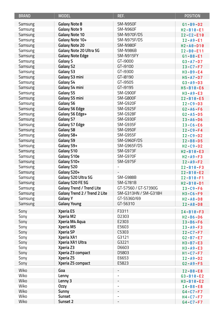| <b>BRAND</b> | <b>MODEL</b>                  | REF.                 | <b>POSITION</b> |
|--------------|-------------------------------|----------------------|-----------------|
| Samsung      | <b>Galaxy Note 8</b>          | SM-N950F             | $G1 - B9 - D2$  |
| Samsung      | Galaxy Note 9                 | SM-N960F             | $H2 - B10 - E1$ |
| Samsung      | Galaxy Note 10                | SM-N970F/DS          | $I2 - C2 - E10$ |
| Samsung      | Galaxy Note 10+               | SM-N975F/DS          | $I2 - A9 - E1$  |
| Samsung      | <b>Galaxy Note 20</b>         | SM-N980F             | $H2 - A0 - D10$ |
| Samsung      | Galaxy Note 20 Ultra 5G       | <b>SM-N986B</b>      | I2-B0-E11       |
| Samsung      | <b>Galaxy Note Edge</b>       | SM-N915FY            | $G1 - B8 - E1$  |
| Samsung      | Galaxy S                      | GT-i9000             | $G3 - A7 - D7$  |
| Samsung      | Galaxy S2                     | GT-i9100             | $I3 - C7 - F7$  |
| Samsung      | Galaxy S3                     | GT-i9300             | $H3 - B9 - E4$  |
| Samsung      | Galaxy S3 mini                | GT-i8190             | $H5 - A7 - D7$  |
| Samsung      | Galaxy S4                     | GT-i9505             | $G3 - A9 - D3$  |
| Samsung      | Galaxy S4 mini                | GT-i9195             | $H5 - B10 - E6$ |
| Samsung      | Galaxy S5                     | SM-G900F             | $H3 - A9 - E3$  |
| Samsung      | Galaxy S5 mini                | SM-G800F             | $I2 - B10 - E5$ |
| Samsung      | Galaxy S6                     | SM-G920F             | $I2-C9-D3$      |
| Samsung      | Galaxy S6 Edge                | SM-G925F             | $G2 - A6 - F6$  |
| Samsung      | Galaxy S6 Edge+               | SM-G928F             | $G2 - A5 - D5$  |
| Samsung      | Galaxy S7                     | SM-G930F             | $I3 - A6 - D6$  |
| Samsung      | Galaxy S7 Edge                | SM-G935F             | $I3-C6-E6$      |
| Samsung      | Galaxy S8                     | SM-G950F             | $I2-C9-F4$      |
| Samsung      | Galaxy S8+                    | SM-G955F             | $I2 - C9 - D2$  |
| Samsung      | Galaxy S9                     | SM-G960F/DS          | $I2 - B8 - D5$  |
| Samsung      | Galaxy S9+                    | SM-G965F/DS          | $H2-C9-D2$      |
| Samsung      | Galaxy S10                    | SM-G973F             | $H2 - B10 - E3$ |
| Samsung      | Galaxy S10e                   | SM-G970F             | $H2 - A9 - F3$  |
| Samsung      | Galaxy S10+                   | SM-G975F             | $I2 - A9 - F2$  |
| Samsung      | Galaxy S20                    |                      | $I2 - B10 - F3$ |
| Samsung      | Galaxy S20+                   |                      | $I2 - B10 - E2$ |
| Samsung      | Galaxy S20 Ultra 5G           | <b>SM-G988B</b>      | $I2 - B10 - F1$ |
| Samsung      | Galaxy S20 FE 5G              | SM-G781B             | $H2 - B10 - D1$ |
| Samsung      | Galaxy Trend / Trend Lite     | GT-S7560 / GT-S7390G | $I3-C9-F6$      |
| Samsung      | Galaxy Trend 2 / Trend 2 Lite | SM-G313HN / SM-G318H | $H3 - C6 - F9$  |
| Samsung      | <b>Galaxy Y</b>               | GT-S5360/69          | $H2 - AB - D8$  |
| Samsung      | <b>Galaxy Young</b>           | GT-S6310             | $I2 - A8 - D8$  |
| Sony         | <b>Xperia E5</b>              | F3311                | $I4 - B10 - F3$ |
| Sony         | Xperia M2                     | D2303                | $H2 - B6 - D6$  |
| Sony         | Xperia M4 Aqua                | E2303                | $I3 - B6 - F6$  |
| Sony         | Xperia M5                     | E5603                | $I3 - A9 - F3$  |
| Sony         | <b>Xperia SP</b>              | C5303                | $I2 - C7 - F7$  |
| Sony         | <b>Xperia XA1</b>             | G3121                | $G2 - B7 - E7$  |
| Sony         | Xperia XA1 Ultra              | G3221                | $H3-B7-E3$      |
| Sony         | <b>Xperia Z3</b>              | D6603                | H3-A9-E3        |
| Sony         | Xperia Z3 compact             | D5803                | $H1 - C7 - F7$  |
| Sony         | Xperia Z5                     | E6653                | $I2 - A9 - D2$  |
| Sony         | Xperia Z5 compact             | E5823                | $G2 - A9 - F5$  |
| Wiko         | Goa                           |                      | $I2 - B8 - E8$  |
| Wiko         | Lenny                         | ÷,                   | G3-B10-E2       |
| Wiko         | Lenny 3                       |                      | H3-B10-E2       |
| Wiko         | Ozzy                          | L,                   | $I4 - B8 - E8$  |
| Wiko         | Sunny                         |                      | $G4 - C7 - F7$  |
| Wiko         | Sunset                        |                      | $H4-C7-F7$      |
| Wiko         | Sunset 2                      |                      | $G4 - C7 - F7$  |